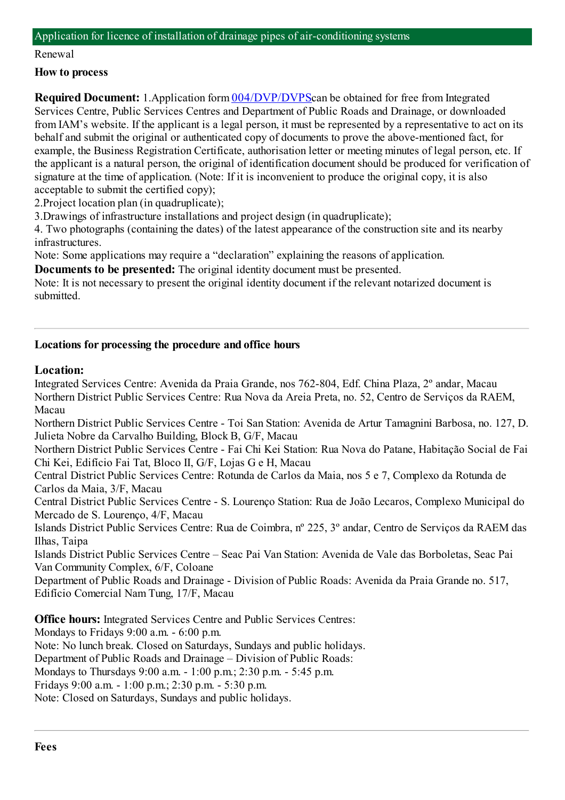#### Application for licence of installation of drainage pipes of air-conditioning systems

#### Renewal

## **How to process**

**Required Document:** 1.Application form  $004/DVP/DVP$ Scan be obtained for free from Integrated Services Centre, Public Services Centres and Department of Public Roads and Drainage, or downloaded fromIAM's website. If the applicant is a legal person, it must be represented by a representative to act on its behalf and submit the original or authenticated copy of documents to prove the above-mentioned fact, for example, the Business Registration Certificate, authorisation letter or meeting minutes of legal person, etc. If the applicant is a natural person, the original of identification document should be produced for verification of signature at the time of application. (Note: If it is inconvenient to produce the original copy, it is also acceptable to submit the certified copy);

2.Project location plan (in quadruplicate);

3.Drawings of infrastructure installations and project design (in quadruplicate);

4. Two photographs (containing the dates) of the latest appearance of the construction site and its nearby infrastructures.

Note: Some applications may require a "declaration" explaining the reasons of application.

**Documents to be presented:** The original identity document must be presented.

Note: It is not necessary to present the original identity document if the relevant notarized document is submitted.

## **Locations for processing the procedure and office hours**

## **Location:**

Integrated Services Centre: Avenida da Praia Grande, nos 762-804, Edf. China Plaza, 2º andar, Macau Northern District Public Services Centre: Rua Nova da Areia Preta, no. 52, Centro de Serviços da RAEM, Macau

Northern District Public Services Centre - Toi San Station: Avenida de Artur Tamagnini Barbosa, no. 127, D. Julieta Nobre da Carvalho Building, Block B, G/F, Macau

Northern District Public Services Centre - Fai Chi Kei Station: Rua Nova do Patane, Habitação Social de Fai Chi Kei, Edifício Fai Tat, Bloco II, G/F, Lojas G e H, Macau

Central District Public Services Centre: Rotunda de Carlos da Maia, nos 5 e 7, Complexo da Rotunda de Carlos da Maia, 3/F, Macau

Central District Public Services Centre - S. Lourenço Station: Rua de João Lecaros, Complexo Municipal do Mercado de S. Lourenço, 4/F, Macau

Islands District Public Services Centre: Rua de Coimbra, nº 225, 3º andar, Centro de Serviços da RAEM das Ilhas, Taipa

Islands District Public Services Centre – Seac Pai Van Station: Avenida de Vale das Borboletas, Seac Pai Van Community Complex, 6/F, Coloane

Department of Public Roads and Drainage - Division of Public Roads: Avenida da Praia Grande no. 517, Edifício Comercial NamTung, 17/F, Macau

**Office hours:** Integrated Services Centre and Public Services Centres:

Mondays to Fridays 9:00 a.m. - 6:00 p.m.

Note: No lunch break. Closed on Saturdays, Sundays and public holidays.

Department of Public Roads and Drainage – Division of Public Roads:

Mondays to Thursdays 9:00 a.m. - 1:00 p.m.; 2:30 p.m. - 5:45 p.m.

Fridays 9:00 a.m. - 1:00 p.m.; 2:30 p.m. - 5:30 p.m.

Note: Closed on Saturdays, Sundays and public holidays.